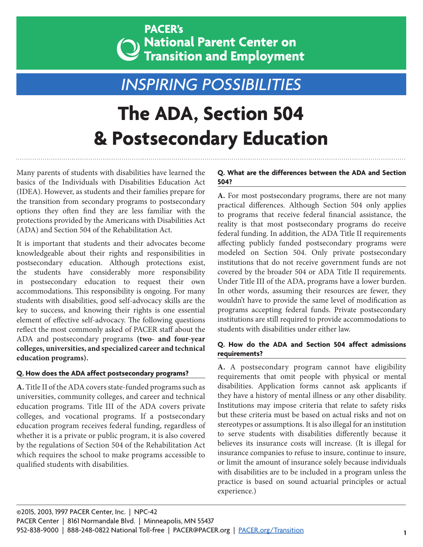### **PACER's** ) National Parent Center on Transition and Employment

## *INSPIRING POSSIBILITIES*

# **The ADA, Section 504 & Postsecondary Education**

Many parents of students with disabilities have learned the basics of the Individuals with Disabilities Education Act (IDEA). However, as students and their families prepare for the transition from secondary programs to postsecondary options they often find they are less familiar with the protections provided by the Americans with Disabilities Act (ADA) and Section 504 of the Rehabilitation Act.

It is important that students and their advocates become knowledgeable about their rights and responsibilities in postsecondary education. Although protections exist, the students have considerably more responsibility in postsecondary education to request their own accommodations. This responsibility is ongoing. For many students with disabilities, good self-advocacy skills are the key to success, and knowing their rights is one essential element of effective self-advocacy. The following questions reflect the most commonly asked of PACER staff about the ADA and postsecondary programs **(two- and four-year colleges, universities, and specialized career and technical education programs).**

#### **Q. How does the ADA affect postsecondary programs?**

**A.** Title II of the ADA covers state-funded programs such as universities, community colleges, and career and technical education programs. Title III of the ADA covers private colleges, and vocational programs. If a postsecondary education program receives federal funding, regardless of whether it is a private or public program, it is also covered by the regulations of Section 504 of the Rehabilitation Act which requires the school to make programs accessible to qualified students with disabilities.

#### **Q. What are the differences between the ADA and Section 504?**

**A.** For most postsecondary programs, there are not many practical differences. Although Section 504 only applies to programs that receive federal financial assistance, the reality is that most postsecondary programs do receive federal funding. In addition, the ADA Title II requirements affecting publicly funded postsecondary programs were modeled on Section 504. Only private postsecondary institutions that do not receive government funds are not covered by the broader 504 or ADA Title II requirements. Under Title III of the ADA, programs have a lower burden. In other words, assuming their resources are fewer, they wouldn't have to provide the same level of modification as programs accepting federal funds. Private postsecondary institutions are still required to provide accommodations to students with disabilities under either law.

#### **Q. How do the ADA and Section 504 affect admissions requirements?**

**A.** A postsecondary program cannot have eligibility requirements that omit people with physical or mental disabilities. Application forms cannot ask applicants if they have a history of mental illness or any other disability. Institutions may impose criteria that relate to safety risks but these criteria must be based on actual risks and not on stereotypes or assumptions. It is also illegal for an institution to serve students with disabilities differently because it believes its insurance costs will increase. (It is illegal for insurance companies to refuse to insure, continue to insure, or limit the amount of insurance solely because individuals with disabilities are to be included in a program unless the practice is based on sound actuarial principles or actual experience.)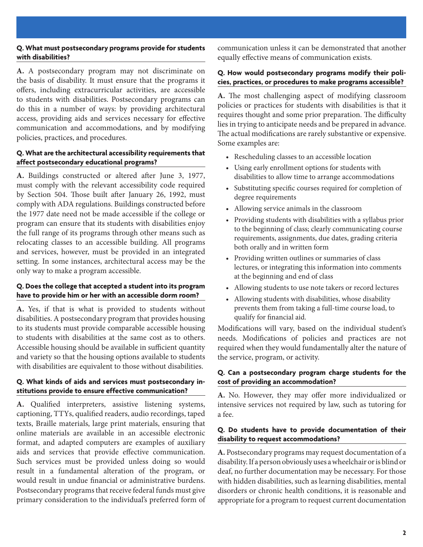#### **Q. What must postsecondary programs provide for students with disabilities?**

**A.** A postsecondary program may not discriminate on the basis of disability. It must ensure that the programs it offers, including extracurricular activities, are accessible to students with disabilities. Postsecondary programs can do this in a number of ways: by providing architectural access, providing aids and services necessary for effective communication and accommodations, and by modifying policies, practices, and procedures.

#### **Q. What are the architectural accessibility requirements that affect postsecondary educational programs?**

**A.** Buildings constructed or altered after June 3, 1977, must comply with the relevant accessibility code required by Section 504. Those built after January 26, 1992, must comply with ADA regulations. Buildings constructed before the 1977 date need not be made accessible if the college or program can ensure that its students with disabilities enjoy the full range of its programs through other means such as relocating classes to an accessible building. All programs and services, however, must be provided in an integrated setting. In some instances, architectural access may be the only way to make a program accessible.

#### **Q. Does the college that accepted a student into its program have to provide him or her with an accessible dorm room?**

**A.** Yes, if that is what is provided to students without disabilities. A postsecondary program that provides housing to its students must provide comparable accessible housing to students with disabilities at the same cost as to others. Accessible housing should be available in sufficient quantity and variety so that the housing options available to students with disabilities are equivalent to those without disabilities.

#### **Q. What kinds of aids and services must postsecondary institutions provide to ensure effective communication?**

**A.** Qualified interpreters, assistive listening systems, captioning, TTYs, qualified readers, audio recordings, taped texts, Braille materials, large print materials, ensuring that online materials are available in an accessible electronic format, and adapted computers are examples of auxiliary aids and services that provide effective communication. Such services must be provided unless doing so would result in a fundamental alteration of the program, or would result in undue financial or administrative burdens. Postsecondary programs that receive federal funds must give primary consideration to the individual's preferred form of

communication unless it can be demonstrated that another equally effective means of communication exists.

#### **Q. How would postsecondary programs modify their policies, practices, or procedures to make programs accessible?**

**A.** The most challenging aspect of modifying classroom policies or practices for students with disabilities is that it requires thought and some prior preparation. The difficulty lies in trying to anticipate needs and be prepared in advance. The actual modifications are rarely substantive or expensive. Some examples are:

- Rescheduling classes to an accessible location
- Using early enrollment options for students with disabilities to allow time to arrange accommodations
- Substituting specific courses required for completion of degree requirements
- Allowing service animals in the classroom
- Providing students with disabilities with a syllabus prior to the beginning of class; clearly communicating course requirements, assignments, due dates, grading criteria both orally and in written form
- Providing written outlines or summaries of class lectures, or integrating this information into comments at the beginning and end of class
- Allowing students to use note takers or record lectures
- Allowing students with disabilities, whose disability prevents them from taking a full-time course load, to qualify for financial aid.

Modifications will vary, based on the individual student's needs. Modifications of policies and practices are not required when they would fundamentally alter the nature of the service, program, or activity.

#### **Q. Can a postsecondary program charge students for the cost of providing an accommodation?**

**A.** No. However, they may offer more individualized or intensive services not required by law, such as tutoring for a fee.

#### **Q. Do students have to provide documentation of their disability to request accommodations?**

**A.** Postsecondary programs may request documentation of a disability. If a person obviously uses a wheelchair or is blind or deaf, no further documentation may be necessary. For those with hidden disabilities, such as learning disabilities, mental disorders or chronic health conditions, it is reasonable and appropriate for a program to request current documentation